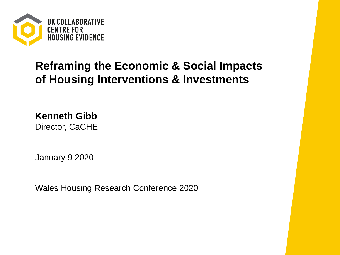

### **Reframing the Economic & Social Impacts of Housing Interventions & Investments**

**Kenneth Gibb** Director, CaCHE

January 9 2020

Wales Housing Research Conference 2020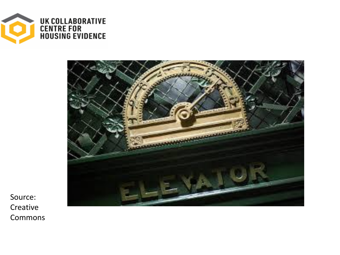



Source: Creative Commons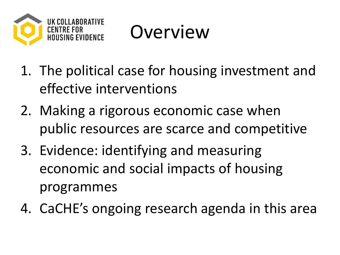

Overview

- 1. The political case for housing investment and effective interventions
- 2. Making a rigorous economic case when public resources are scarce and competitive
- 3. Evidence: identifying and measuring economic and social impacts of housing programmes
- 4. CaCHE's ongoing research agenda in this area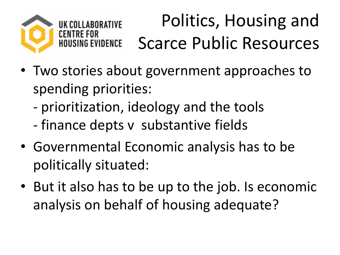

## Politics, Housing and Scarce Public Resources

- Two stories about government approaches to spending priorities:
	- prioritization, ideology and the tools
	- finance depts v substantive fields
- Governmental Economic analysis has to be politically situated:
- But it also has to be up to the job. Is economic analysis on behalf of housing adequate?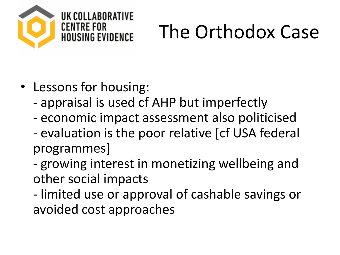

# The Orthodox Case

- Lessons for housing:
	- appraisal is used cf AHP but imperfectly
	- economic impact assessment also politicised
	- evaluation is the poor relative [cf USA federal programmes]
	- growing interest in monetizing wellbeing and other social impacts
	- limited use or approval of cashable savings or avoided cost approaches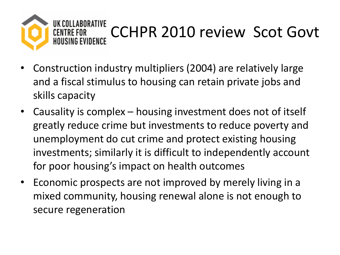

- Construction industry multipliers (2004) are relatively large and a fiscal stimulus to housing can retain private jobs and skills capacity
- Causality is complex housing investment does not of itself greatly reduce crime but investments to reduce poverty and unemployment do cut crime and protect existing housing investments; similarly it is difficult to independently account for poor housing's impact on health outcomes
- Economic prospects are not improved by merely living in a mixed community, housing renewal alone is not enough to secure regeneration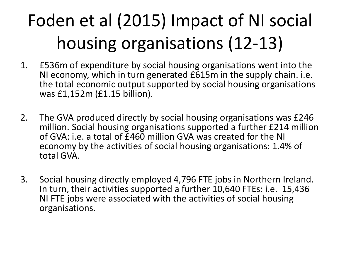## Foden et al (2015) Impact of NI social housing organisations (12-13)

- 1. £536m of expenditure by social housing organisations went into the NI economy, which in turn generated £615m in the supply chain. i.e. the total economic output supported by social housing organisations was £1,152m (£1.15 billion).
- 2. The GVA produced directly by social housing organisations was £246 million. Social housing organisations supported a further £214 million of GVA: i.e. a total of £460 million GVA was created for the NI economy by the activities of social housing organisations: 1.4% of total GVA.
- 3. Social housing directly employed 4,796 FTE jobs in Northern Ireland. In turn, their activities supported a further 10,640 FTEs: i.e. 15,436 NI FTE jobs were associated with the activities of social housing organisations.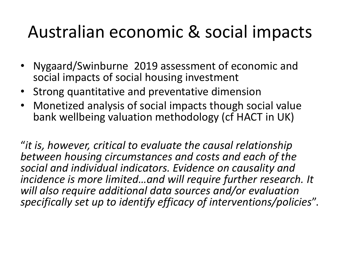## Australian economic & social impacts

- Nygaard/Swinburne 2019 assessment of economic and social impacts of social housing investment
- Strong quantitative and preventative dimension
- Monetized analysis of social impacts though social value bank wellbeing valuation methodology (cf HACT in UK)

"*it is, however, critical to evaluate the causal relationship between housing circumstances and costs and each of the social and individual indicators. Evidence on causality and incidence is more limited…and will require further research. It will also require additional data sources and/or evaluation specifically set up to identify efficacy of interventions/policies*".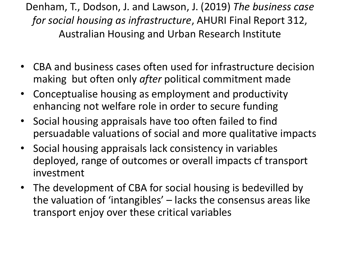Denham, T., Dodson, J. and Lawson, J. (2019) *The business case for social housing as infrastructure*, AHURI Final Report 312, Australian Housing and Urban Research Institute

- CBA and business cases often used for infrastructure decision making but often only *after* political commitment made
- Conceptualise housing as employment and productivity enhancing not welfare role in order to secure funding
- Social housing appraisals have too often failed to find persuadable valuations of social and more qualitative impacts
- Social housing appraisals lack consistency in variables deployed, range of outcomes or overall impacts cf transport investment
- The development of CBA for social housing is bedevilled by the valuation of 'intangibles' – lacks the consensus areas like transport enjoy over these critical variables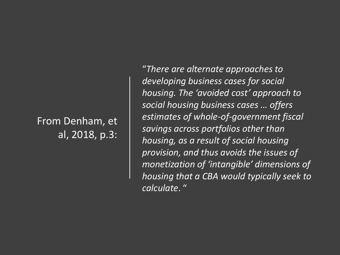#### From Denham, et al, 2018, p.3:

"*There are alternate approaches to developing business cases for social housing. The 'avoided cost' approach to social housing business cases … offers estimates of whole-of-government fiscal savings across portfolios other than housing, as a result of social housing provision, and thus avoids the issues of monetization of 'intangible' dimensions of housing that a CBA would typically seek to calculate*. "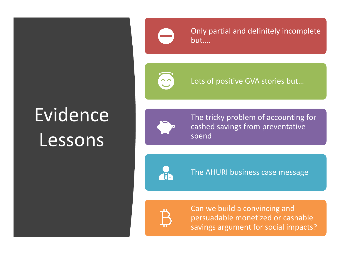## **Evidence** Lessons



Only partial and definitely incomplete but….

 $\ddot{\cdot}$ 

Lots of positive GVA stories but…



The tricky problem of accounting for cashed savings from preventative spend



The AHURI business case message



Can we build a convincing and persuadable monetized or cashable savings argument for social impacts?